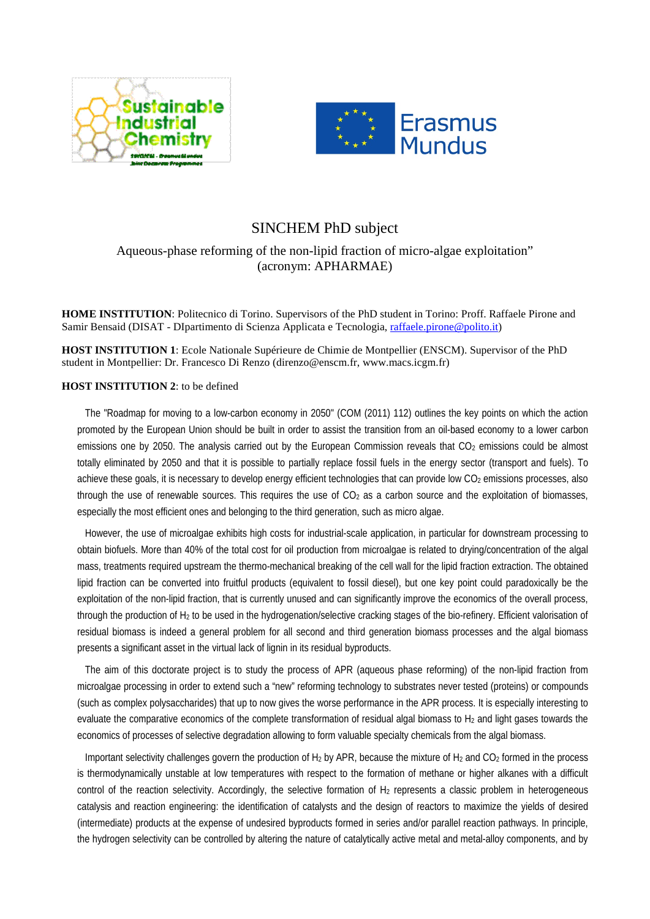



## SINCHEM PhD subject

## Aqueous-phase reforming of the non-lipid fraction of micro-algae exploitation" (acronym: APHARMAE)

**HOME INSTITUTION**: Politecnico di Torino. Supervisors of the PhD student in Torino: Proff. Raffaele Pirone and Samir Bensaid (DISAT - DIpartimento di Scienza Applicata e Tecnologia, [raffaele.pirone@polito.it\)](mailto:raffaele.pirone@polito.it)

**HOST INSTITUTION 1**: Ecole Nationale Supérieure de Chimie de Montpellier (ENSCM). Supervisor of the PhD student in Montpellier: Dr. Francesco Di Renzo (direnzo@enscm.fr, www.macs.icgm.fr)

## **HOST INSTITUTION 2**: to be defined

The "Roadmap for moving to a low-carbon economy in 2050" (COM (2011) 112) outlines the key points on which the action promoted by the European Union should be built in order to assist the transition from an oil-based economy to a lower carbon emissions one by 2050. The analysis carried out by the European Commission reveals that CO<sub>2</sub> emissions could be almost totally eliminated by 2050 and that it is possible to partially replace fossil fuels in the energy sector (transport and fuels). To achieve these goals, it is necessary to develop energy efficient technologies that can provide low CO<sub>2</sub> emissions processes, also through the use of renewable sources. This requires the use of  $CO<sub>2</sub>$  as a carbon source and the exploitation of biomasses, especially the most efficient ones and belonging to the third generation, such as micro algae.

However, the use of microalgae exhibits high costs for industrial-scale application, in particular for downstream processing to obtain biofuels. More than 40% of the total cost for oil production from microalgae is related to drying/concentration of the algal mass, treatments required upstream the thermo-mechanical breaking of the cell wall for the lipid fraction extraction. The obtained lipid fraction can be converted into fruitful products (equivalent to fossil diesel), but one key point could paradoxically be the exploitation of the non-lipid fraction, that is currently unused and can significantly improve the economics of the overall process, through the production of H2 to be used in the hydrogenation/selective cracking stages of the bio-refinery. Efficient valorisation of residual biomass is indeed a general problem for all second and third generation biomass processes and the algal biomass presents a significant asset in the virtual lack of lignin in its residual byproducts.

The aim of this doctorate project is to study the process of APR (aqueous phase reforming) of the non-lipid fraction from microalgae processing in order to extend such a "new" reforming technology to substrates never tested (proteins) or compounds (such as complex polysaccharides) that up to now gives the worse performance in the APR process. It is especially interesting to evaluate the comparative economics of the complete transformation of residual algal biomass to  $H_2$  and light gases towards the economics of processes of selective degradation allowing to form valuable specialty chemicals from the algal biomass.

Important selectivity challenges govern the production of H<sub>2</sub> by APR, because the mixture of H<sub>2</sub> and CO<sub>2</sub> formed in the process is thermodynamically unstable at low temperatures with respect to the formation of methane or higher alkanes with a difficult control of the reaction selectivity. Accordingly, the selective formation of H<sub>2</sub> represents a classic problem in heterogeneous catalysis and reaction engineering: the identification of catalysts and the design of reactors to maximize the yields of desired (intermediate) products at the expense of undesired byproducts formed in series and/or parallel reaction pathways. In principle, the hydrogen selectivity can be controlled by altering the nature of catalytically active metal and metal-alloy components, and by